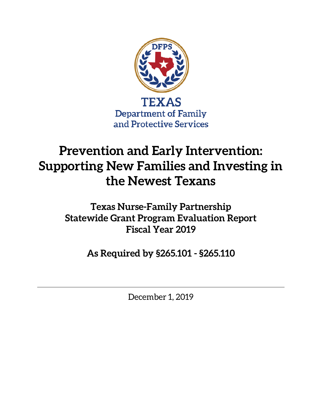

# **Prevention and Early Intervention: Supporting New Families and Investing in the Newest Texans**

**Texas Nurse-Family Partnership Statewide Grant Program Evaluation Report Fiscal Year 2019**

**As Required by §265.101 - §265.110**

December 1, 2019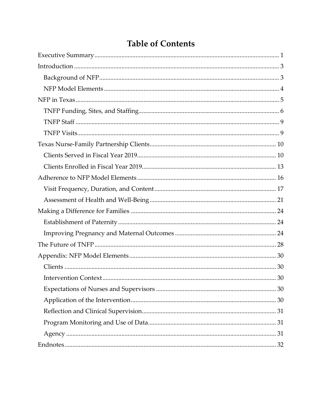## **Table of Contents**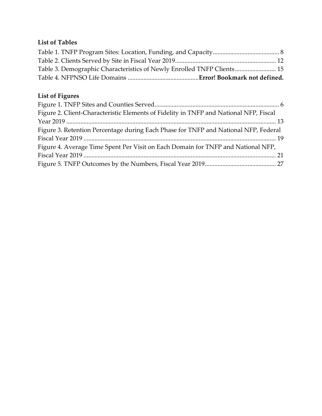## **List of Tables**

| Table 3. Demographic Characteristics of Newly Enrolled TNFP Clients 15 |  |
|------------------------------------------------------------------------|--|
|                                                                        |  |

## **List of Figures**

| Figure 2. Client-Characteristic Elements of Fidelity in TNFP and National NFP, Fiscal |  |
|---------------------------------------------------------------------------------------|--|
|                                                                                       |  |
| Figure 3. Retention Percentage during Each Phase for TNFP and National NFP, Federal   |  |
|                                                                                       |  |
| Figure 4. Average Time Spent Per Visit on Each Domain for TNFP and National NFP,      |  |
|                                                                                       |  |
|                                                                                       |  |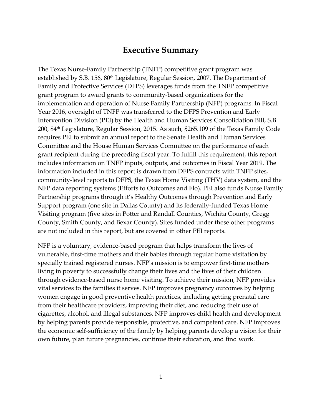#### **Executive Summary**

<span id="page-4-0"></span>The Texas Nurse-Family Partnership (TNFP) competitive grant program was established by S.B. 156, 80<sup>th</sup> Legislature, Regular Session, 2007. The Department of Family and Protective Services (DFPS) leverages funds from the TNFP competitive grant program to award grants to community-based organizations for the implementation and operation of Nurse Family Partnership (NFP) programs. In Fiscal Year 2016, oversight of TNFP was transferred to the DFPS Prevention and Early Intervention Division (PEI) by the Health and Human Services Consolidation Bill, S.B. 200, 84th Legislature, Regular Session, 2015. As such, §265.109 of the Texas Family Code requires PEI to submit an annual report to the Senate Health and Human Services Committee and the House Human Services Committee on the performance of each grant recipient during the preceding fiscal year. To fulfill this requirement, this report includes information on TNFP inputs, outputs, and outcomes in Fiscal Year 2019. The information included in this report is drawn from DFPS contracts with TNFP sites, community-level reports to DFPS, the Texas Home Visiting (THV) data system, and the NFP data reporting systems (Efforts to Outcomes and Flo). PEI also funds Nurse Family Partnership programs through it's Healthy Outcomes through Prevention and Early Support program (one site in Dallas County) and its federally-funded Texas Home Visiting program (five sites in Potter and Randall Counties, Wichita County, Gregg County, Smith County, and Bexar County). Sites funded under these other programs are not included in this report, but are covered in other PEI reports.

NFP is a voluntary, evidence-based program that helps transform the lives of vulnerable, first-time mothers and their babies through regular home visitation by specially trained registered nurses. NFP's mission is to empower first-time mothers living in poverty to successfully change their lives and the lives of their children through evidence-based nurse home visiting. To achieve their mission, NFP provides vital services to the families it serves. NFP improves pregnancy outcomes by helping women engage in good preventive health practices, including getting prenatal care from their healthcare providers, improving their diet, and reducing their use of cigarettes, alcohol, and illegal substances. NFP improves child health and development by helping parents provide responsible, protective, and competent care. NFP improves the economic self-sufficiency of the family by helping parents develop a vision for their own future, plan future pregnancies, continue their education, and find work.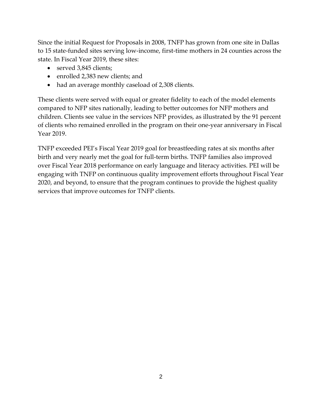Since the initial Request for Proposals in 2008, TNFP has grown from one site in Dallas to 15 state-funded sites serving low-income, first-time mothers in 24 counties across the state. In Fiscal Year 2019, these sites:

- served 3,845 clients;
- enrolled 2,383 new clients; and
- had an average monthly caseload of 2,308 clients.

These clients were served with equal or greater fidelity to each of the model elements compared to NFP sites nationally, leading to better outcomes for NFP mothers and children. Clients see value in the services NFP provides, as illustrated by the 91 percent of clients who remained enrolled in the program on their one-year anniversary in Fiscal Year 2019.

TNFP exceeded PEI's Fiscal Year 2019 goal for breastfeeding rates at six months after birth and very nearly met the goal for full-term births. TNFP families also improved over Fiscal Year 2018 performance on early language and literacy activities. PEI will be engaging with TNFP on continuous quality improvement efforts throughout Fiscal Year 2020, and beyond, to ensure that the program continues to provide the highest quality services that improve outcomes for TNFP clients.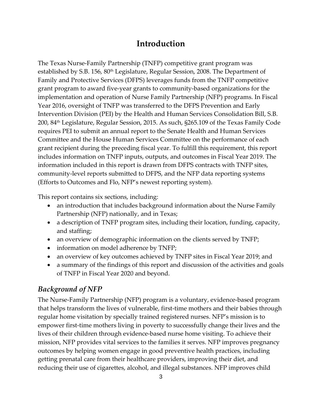## **Introduction**

<span id="page-6-0"></span>The Texas Nurse-Family Partnership (TNFP) competitive grant program was established by S.B. 156, 80<sup>th</sup> Legislature, Regular Session, 2008. The Department of Family and Protective Services (DFPS) leverages funds from the TNFP competitive grant program to award five-year grants to community-based organizations for the implementation and operation of Nurse Family Partnership (NFP) programs. In Fiscal Year 2016, oversight of TNFP was transferred to the DFPS Prevention and Early Intervention Division (PEI) by the Health and Human Services Consolidation Bill, S.B. 200, 84th Legislature, Regular Session, 2015. As such, §265.109 of the Texas Family Code requires PEI to submit an annual report to the Senate Health and Human Services Committee and the House Human Services Committee on the performance of each grant recipient during the preceding fiscal year. To fulfill this requirement, this report includes information on TNFP inputs, outputs, and outcomes in Fiscal Year 2019. The information included in this report is drawn from DFPS contracts with TNFP sites, community-level reports submitted to DFPS, and the NFP data reporting systems (Efforts to Outcomes and Flo, NFP's newest reporting system).

This report contains six sections, including:

- an introduction that includes background information about the Nurse Family Partnership (NFP) nationally, and in Texas;
- a description of TNFP program sites, including their location, funding, capacity, and staffing;
- an overview of demographic information on the clients served by TNFP;
- information on model adherence by TNFP;
- an overview of key outcomes achieved by TNFP sites in Fiscal Year 2019; and
- a summary of the findings of this report and discussion of the activities and goals of TNFP in Fiscal Year 2020 and beyond.

#### <span id="page-6-1"></span>*Background of NFP*

The Nurse-Family Partnership (NFP) program is a voluntary, evidence-based program that helps transform the lives of vulnerable, first-time mothers and their babies through regular home visitation by specially trained registered nurses. NFP's mission is to empower first-time mothers living in poverty to successfully change their lives and the lives of their children through evidence-based nurse home visiting. To achieve their mission, NFP provides vital services to the families it serves. NFP improves pregnancy outcomes by helping women engage in good preventive health practices, including getting prenatal care from their healthcare providers, improving their diet, and reducing their use of cigarettes, alcohol, and illegal substances. NFP improves child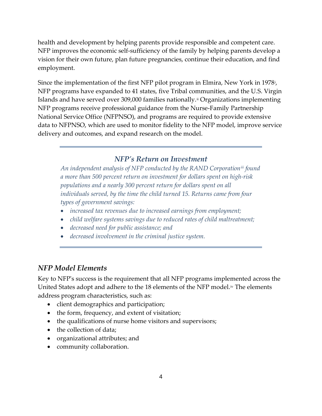health and development by helping parents provide responsible and competent care. NFP improves the economic self-sufficiency of the family by helping parents develop a vision for their own future, plan future pregnancies, continue their education, and find employment.

Since the implementation of the first NFP pilot program in Elmira, New York in 1978<sup>*i*</sup>, NFP programs have expanded to 41 states, five Tribal communities, and the U.S. Virgin Islands and have served over 309,000 families nationally.<sup>[ii](#page-36-1)</sup> Organizations implementing NFP programs receive professional guidance from the Nurse-Family Partnership National Service Office (NFPNSO), and programs are required to provide extensive data to NFPNSO, which are used to monitor fidelity to the NFP model, improve service delivery and outcomes, and expand research on the model.

#### *NFP's Return on Investment*

*An independent analysis of NFP conducted by the RAND Corporation[iii](#page-36-2) found a more than 500 percent return on investment for dollars spent on high-risk populations and a nearly 300 percent return for dollars spent on all individuals served, by the time the child turned 15. Returns came from four types of government savings:*

- *increased tax revenues due to increased earnings from employment;*
- *child welfare systems savings due to reduced rates of child maltreatment;*
- *decreased need for public assistance; and*
- *decreased involvement in the criminal justice system.*

#### <span id="page-7-0"></span>*NFP Model Elements*

Key to NFP's success is the requirement that all NFP programs implemented across the United States adopt and adhere to the 18 elements of the NFP model.<sup>[iv](#page-36-3)</sup> The elements address program characteristics, such as:

- client demographics and participation;
- the form, frequency, and extent of visitation;
- the qualifications of nurse home visitors and supervisors;
- the collection of data;
- organizational attributes; and
- community collaboration.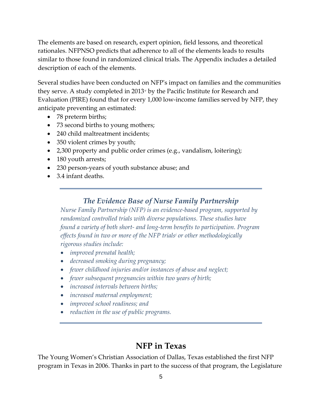The elements are based on research, expert opinion, field lessons, and theoretical rationales. NFPNSO predicts that adherence to all of the elements leads to results similar to those found in randomized clinical trials. The Appendix includes a detailed description of each of the elements.

Several studies have been conducted on NFP's impact on families and the communities they serve. A study completed in 2013[v](#page-36-4) by the Pacific Institute for Research and Evaluation (PIRE) found that for every 1,000 low-income families served by NFP, they anticipate preventing an estimated:

- 78 preterm births;
- 73 second births to young mothers;
- 240 child maltreatment incidents;
- 350 violent crimes by youth;
- 2,300 property and public order crimes (e.g., vandalism, loitering);
- 180 youth arrests;
- 230 person-years of youth substance abuse; and
- 3.4 infant deaths.

#### *The Evidence Base of Nurse Family Partnership*

*Nurse Family Partnership (NFP) is an evidence-based program, supported by randomized controlled trials with diverse populations. These studies have found a variety of both short- and long-term benefits to participation. Program effects found in two or more of the NFP trialsi or other methodologically rigorous studies include:*

- *improved prenatal health;*
- *decreased smoking during pregnancy;*
- *fewer childhood injuries and/or instances of abuse and neglect;*
- *fewer subsequent pregnancies within two years of birth;*
- *increased intervals between births;*
- *increased maternal employment;*
- *improved school readiness; and*
- *reduction in the use of public programs.*

#### **NFP in Texas**

<span id="page-8-0"></span>The Young Women's Christian Association of Dallas, Texas established the first NFP program in Texas in 2006. Thanks in part to the success of that program, the Legislature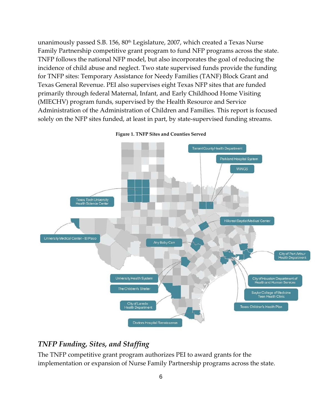unanimously passed S.B. 156, 80<sup>th</sup> Legislature, 2007, which created a Texas Nurse Family Partnership competitive grant program to fund NFP programs across the state. TNFP follows the national NFP model, but also incorporates the goal of reducing the incidence of child abuse and neglect. Two state supervised funds provide the funding for TNFP sites: Temporary Assistance for Needy Families (TANF) Block Grant and Texas General Revenue. PEI also supervises eight Texas NFP sites that are funded primarily through federal Maternal, Infant, and Early Childhood Home Visiting (MIECHV) program funds, supervised by the Health Resource and Service Administration of the Administration of Children and Families. This report is focused solely on the NFP sites funded, at least in part, by state-supervised funding streams.

<span id="page-9-1"></span>

**Figure 1. TNFP Sites and Counties Served**

#### <span id="page-9-0"></span>*TNFP Funding, Sites, and Staffing*

The TNFP competitive grant program authorizes PEI to award grants for the implementation or expansion of Nurse Family Partnership programs across the state.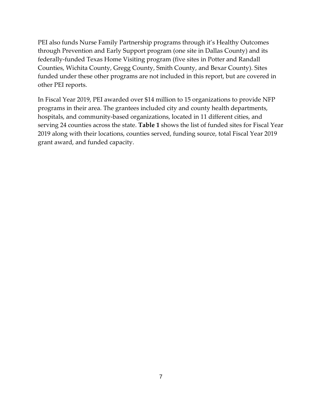PEI also funds Nurse Family Partnership programs through it's Healthy Outcomes through Prevention and Early Support program (one site in Dallas County) and its federally-funded Texas Home Visiting program (five sites in Potter and Randall Counties, Wichita County, Gregg County, Smith County, and Bexar County). Sites funded under these other programs are not included in this report, but are covered in other PEI reports.

In Fiscal Year 2019, PEI awarded over \$14 million to 15 organizations to provide NFP programs in their area. The grantees included city and county health departments, hospitals, and community-based organizations, located in 11 different cities, and serving 24 counties across the state. **Table 1** shows the list of funded sites for Fiscal Year 2019 along with their locations, counties served, funding source, total Fiscal Year 2019 grant award, and funded capacity.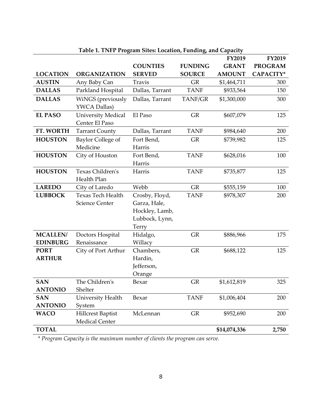<span id="page-11-0"></span>

|                                    |                                                   |                                                                             |                | FY2019        | <b>FY2019</b>  |
|------------------------------------|---------------------------------------------------|-----------------------------------------------------------------------------|----------------|---------------|----------------|
|                                    |                                                   | <b>COUNTIES</b>                                                             | <b>FUNDING</b> | <b>GRANT</b>  | <b>PROGRAM</b> |
| <b>LOCATION</b>                    | <b>ORGANIZATION</b>                               | <b>SERVED</b>                                                               | <b>SOURCE</b>  | <b>AMOUNT</b> | CAPACITY*      |
| <b>AUSTIN</b>                      | Any Baby Can                                      | <b>Travis</b>                                                               | <b>GR</b>      | \$1,464,711   | 300            |
| <b>DALLAS</b>                      | Parkland Hospital                                 | Dallas, Tarrant                                                             | <b>TANF</b>    | \$933,564     | 150            |
| <b>DALLAS</b>                      | WiNGS (previously<br>YWCA Dallas)                 | Dallas, Tarrant                                                             | TANF/GR        | \$1,300,000   | 300            |
| <b>EL PASO</b>                     | <b>University Medical</b><br>Center El Paso       | El Paso                                                                     | <b>GR</b>      | \$607,079     | 125            |
| FT. WORTH                          | <b>Tarrant County</b>                             | Dallas, Tarrant                                                             | <b>TANF</b>    | \$984,640     | 200            |
| <b>HOUSTON</b>                     | Baylor College of<br>Medicine                     | Fort Bend,<br>Harris                                                        | <b>GR</b>      | \$739,982     | 125            |
| <b>HOUSTON</b>                     | City of Houston                                   | Fort Bend,<br>Harris                                                        | <b>TANF</b>    | \$628,016     | 100            |
| <b>HOUSTON</b>                     | Texas Children's<br>Health Plan                   | Harris                                                                      | <b>TANF</b>    | \$735,877     | 125            |
| <b>LAREDO</b>                      | City of Laredo                                    | Webb                                                                        | <b>GR</b>      | \$555,159     | 100            |
| <b>LUBBOCK</b>                     | <b>Texas Tech Health</b><br><b>Science Center</b> | Crosby, Floyd,<br>Garza, Hale,<br>Hockley, Lamb,<br>Lubbock, Lynn,<br>Terry | <b>TANF</b>    | \$978,307     | 200            |
| <b>MCALLEN/</b><br><b>EDINBURG</b> | Doctors Hospital<br>Renaissance                   | Hidalgo,<br>Willacy                                                         | GR             | \$886,966     | 175            |
| <b>PORT</b><br><b>ARTHUR</b>       | City of Port Arthur                               | Chambers,<br>Hardin,<br>Jefferson,<br>Orange                                | <b>GR</b>      | \$688,122     | 125            |
| <b>SAN</b><br><b>ANTONIO</b>       | The Children's<br>Shelter                         | Bexar                                                                       | <b>GR</b>      | \$1,612,819   | 325            |
| <b>SAN</b><br><b>ANTONIO</b>       | University Health<br>System                       | Bexar                                                                       | <b>TANF</b>    | \$1,006,404   | 200            |
| <b>WACO</b>                        | <b>Hillcrest Baptist</b><br>Medical Center        | McLennan                                                                    | GR             | \$952,690     | 200            |
| <b>TOTAL</b>                       |                                                   |                                                                             |                | \$14,074,336  | 2,750          |

**Table 1. TNFP Program Sites: Location, Funding, and Capacity**

*\* Program Capacity is the maximum number of clients the program can serve.*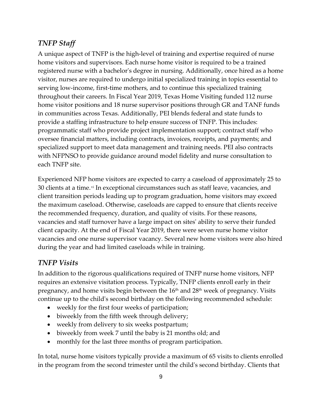#### <span id="page-12-0"></span>*TNFP Staff*

A unique aspect of TNFP is the high-level of training and expertise required of nurse home visitors and supervisors. Each nurse home visitor is required to be a trained registered nurse with a bachelor's degree in nursing. Additionally, once hired as a home visitor, nurses are required to undergo initial specialized training in topics essential to serving low-income, first-time mothers, and to continue this specialized training throughout their careers. In Fiscal Year 2019, Texas Home Visiting funded 112 nurse home visitor positions and 18 nurse supervisor positions through GR and TANF funds in communities across Texas. Additionally, PEI blends federal and state funds to provide a staffing infrastructure to help ensure success of TNFP. This includes: programmatic staff who provide project implementation support; contract staff who oversee financial matters, including contracts, invoices, receipts, and payments; and specialized support to meet data management and training needs. PEI also contracts with NFPNSO to provide guidance around model fidelity and nurse consultation to each TNFP site.

Experienced NFP home visitors are expected to carry a caseload of approximately 25 to 30 clients at a time.<sup>[vi](#page-36-5)</sup> In exceptional circumstances such as staff leave, vacancies, and client transition periods leading up to program graduation, home visitors may exceed the maximum caseload. Otherwise, caseloads are capped to ensure that clients receive the recommended frequency, duration, and quality of visits. For these reasons, vacancies and staff turnover have a large impact on sites' ability to serve their funded client capacity. At the end of Fiscal Year 2019, there were seven nurse home visitor vacancies and one nurse supervisor vacancy. Several new home visitors were also hired during the year and had limited caseloads while in training.

#### <span id="page-12-1"></span>*TNFP Visits*

In addition to the rigorous qualifications required of TNFP nurse home visitors, NFP requires an extensive visitation process. Typically, TNFP clients enroll early in their pregnancy, and home visits begin between the 16<sup>th</sup> and 28<sup>th</sup> week of pregnancy. Visits continue up to the child's second birthday on the following recommended schedule:

- weekly for the first four weeks of participation;
- biweekly from the fifth week through delivery;
- weekly from delivery to six weeks postpartum;
- biweekly from week 7 until the baby is 21 months old; and
- monthly for the last three months of program participation.

In total, nurse home visitors typically provide a maximum of 65 visits to clients enrolled in the program from the second trimester until the child's second birthday. Clients that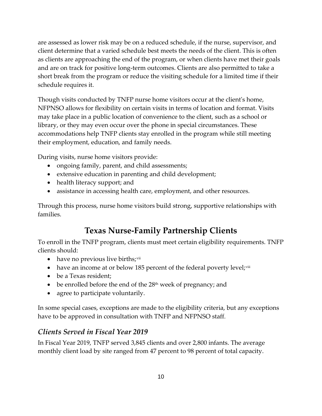are assessed as lower risk may be on a reduced schedule, if the nurse, supervisor, and client determine that a varied schedule best meets the needs of the client. This is often as clients are approaching the end of the program, or when clients have met their goals and are on track for positive long-term outcomes. Clients are also permitted to take a short break from the program or reduce the visiting schedule for a limited time if their schedule requires it.

Though visits conducted by TNFP nurse home visitors occur at the client's home, NFPNSO allows for flexibility on certain visits in terms of location and format. Visits may take place in a public location of convenience to the client, such as a school or library, or they may even occur over the phone in special circumstances. These accommodations help TNFP clients stay enrolled in the program while still meeting their employment, education, and family needs.

During visits, nurse home visitors provide:

- ongoing family, parent, and child assessments;
- extensive education in parenting and child development;
- health literacy support; and
- assistance in accessing health care, employment, and other resources.

<span id="page-13-0"></span>Through this process, nurse home visitors build strong, supportive relationships with families.

## **Texas Nurse-Family Partnership Clients**

To enroll in the TNFP program, clients must meet certain eligibility requirements. TNFP clients should:

- have no previous live births;  $v^{ii}$
- have an income at or below 185 percent of the federal poverty level;  $\frac{1}{2}$
- be a Texas resident:
- be enrolled before the end of the  $28<sup>th</sup>$  week of pregnancy; and
- agree to participate voluntarily.

In some special cases, exceptions are made to the eligibility criteria, but any exceptions have to be approved in consultation with TNFP and NFPNSO staff.

#### <span id="page-13-1"></span>*Clients Served in Fiscal Year 2019*

In Fiscal Year 2019, TNFP served 3,845 clients and over 2,800 infants. The average monthly client load by site ranged from 47 percent to 98 percent of total capacity.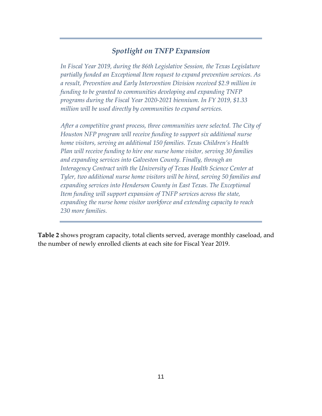#### *Spotlight on TNFP Expansion*

*In Fiscal Year 2019, during the 86th Legislative Session, the Texas Legislature partially funded an Exceptional Item request to expand prevention services. As a result, Prevention and Early Intervention Division received \$2.9 million in funding to be granted to communities developing and expanding TNFP programs during the Fiscal Year 2020-2021 biennium. In FY 2019, \$1.33 million will be used directly by communities to expand services.*

*After a competitive grant process, three communities were selected. The City of Houston NFP program will receive funding to support six additional nurse home visitors, serving an additional 150 families. Texas Children's Health Plan will receive funding to hire one nurse home visitor, serving 30 families and expanding services into Galveston County. Finally, through an Interagency Contract with the University of Texas Health Science Center at Tyler, two additional nurse home visitors will be hired, serving 50 families and expanding services into Henderson County in East Texas. The Exceptional Item funding will support expansion of TNFP services across the state, expanding the nurse home visitor workforce and extending capacity to reach 230 more families.*

**Table 2** shows program capacity, total clients served, average monthly caseload, and the number of newly enrolled clients at each site for Fiscal Year 2019.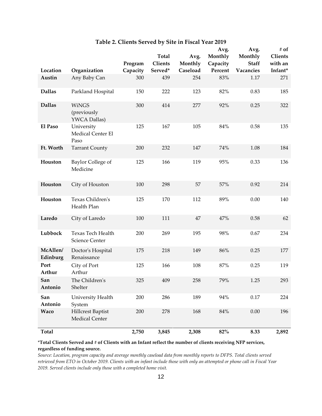<span id="page-15-0"></span>

|                      |                                                   | Program  | <b>Total</b><br>Clients | Avg.<br>Monthly | Avg.<br>Monthly<br>Capacity | Avg.<br>Monthly<br><b>Staff</b> | # of<br><b>Clients</b><br>with an |
|----------------------|---------------------------------------------------|----------|-------------------------|-----------------|-----------------------------|---------------------------------|-----------------------------------|
| Location             | Organization                                      | Capacity | Served*                 | Caseload        | Percent                     | Vacancies                       | Infant*                           |
| Austin               | Any Baby Can                                      | 300      | 439                     | 254             | 83%                         | 1.17                            | 271                               |
| <b>Dallas</b>        | Parkland Hospital                                 | 150      | 222                     | 123             | 82%                         | 0.83                            | 185                               |
| <b>Dallas</b>        | <b>WiNGS</b><br>(previously<br>YWCA Dallas)       | 300      | 414                     | 277             | 92%                         | 0.25                            | 322                               |
| El Paso              | University<br>Medical Center El<br>Paso           | 125      | 167                     | 105             | $84\%$                      | 0.58                            | 135                               |
| Ft. Worth            | <b>Tarrant County</b>                             | 200      | 232                     | 147             | 74%                         | 1.08                            | 184                               |
| Houston              | Baylor College of<br>Medicine                     | 125      | 166                     | 119             | 95%                         | 0.33                            | 136                               |
| Houston              | City of Houston                                   | 100      | 298                     | 57              | 57%                         | 0.92                            | 214                               |
| Houston              | Texas Children's<br>Health Plan                   | 125      | 170                     | 112             | 89%                         | 0.00                            | 140                               |
| Laredo               | City of Laredo                                    | 100      | 111                     | 47              | 47%                         | 0.58                            | 62                                |
| Lubbock              | Texas Tech Health<br>Science Center               | 200      | 269                     | 195             | 98%                         | 0.67                            | 234                               |
| McAllen/<br>Edinburg | Doctor's Hospital<br>Renaissance                  | 175      | 218                     | 149             | 86%                         | 0.25                            | 177                               |
| Port<br>Arthur       | City of Port<br>Arthur                            | 125      | 166                     | 108             | 87%                         | 0.25                            | 119                               |
| San<br>Antonio       | The Children's<br>Shelter                         | 325      | 409                     | 258             | 79%                         | 1.25                            | 293                               |
| San<br>Antonio       | University Health<br>System                       | 200      | 286                     | 189             | 94%                         | 0.17                            | 224                               |
| Waco                 | <b>Hillcrest Baptist</b><br><b>Medical Center</b> | 200      | 278                     | 168             | 84%                         | 0.00                            | 196                               |
| <b>Total</b>         |                                                   | 2,750    | 3,845                   | 2,308           | $82\%$                      | 8.33                            | 2,892                             |

#### **Table 2. Clients Served by Site in Fiscal Year 2019**

\***Total Clients Served and # of Clients with an Infant reflect the number of clients receiving NFP services, regardless of funding source.**

*Source: Location, program capacity and average monthly caseload data from monthly reports to DFPS. Total clients served retrieved from ETO in October 2019. Clients with an infant include those with only an attempted or phone call in Fiscal Year 2019. Served clients include only those with a completed home visit.*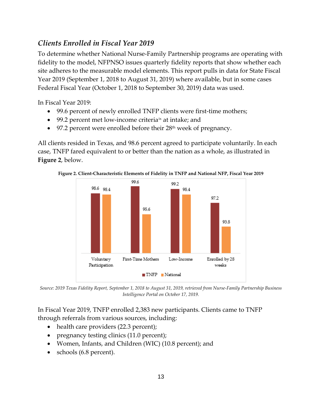#### <span id="page-16-0"></span>*Clients Enrolled in Fiscal Year 2019*

To determine whether National Nurse-Family Partnership programs are operating with fidelity to the model, NFPNSO issues quarterly fidelity reports that show whether each site adheres to the measurable model elements. This report pulls in data for State Fiscal Year 2019 (September 1, 2018 to August 31, 2019) where available, but in some cases Federal Fiscal Year (October 1, 2018 to September 30, 2019) data was used.

In Fiscal Year 2019:

- 99.6 percent of newly enrolled TNFP clients were first-time mothers;
- 99.2 percent met low-income criteria $\alpha$  at intake; and
- 97.2 percent were enrolled before their 28<sup>th</sup> week of pregnancy.

All clients resided in Texas, and 98.6 percent agreed to participate voluntarily. In each case, TNFP fared equivalent to or better than the nation as a whole, as illustrated in **Figure 2**, below.

<span id="page-16-1"></span>**Figure 2. Client-Characteristic Elements of Fidelity in TNFP and National NFP, Fiscal Year 2019**



*Source: 2019 Texas Fidelity Report, September 1, 2018 to August 31, 2019, retrieved from Nurse-Family Partnership Business Intelligence Portal on October 17, 2019.*

In Fiscal Year 2019, TNFP enrolled 2,383 new participants. Clients came to TNFP through referrals from various sources, including:

- health care providers (22.3 percent);
- pregnancy testing clinics (11.0 percent);
- Women, Infants, and Children (WIC) (10.8 percent); and
- schools (6.8 percent).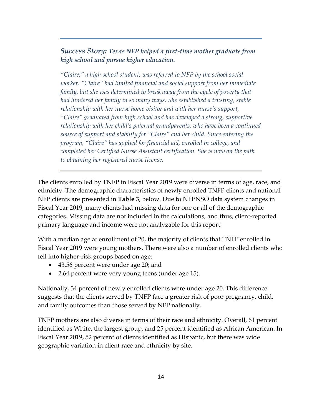#### *Success Story: Texas NFP helped a first-time mother graduate from high school and pursue higher education.*

*"Claire," a high school student, was referred to NFP by the school social worker. "Claire" had limited financial and social support from her immediate*  family, but she was determined to break away from the cycle of poverty that *had hindered her family in so many ways. She established a trusting, stable relationship with her nurse home visitor and with her nurse's support, "Claire" graduated from high school and has developed a strong, supportive relationship with her child's paternal grandparents, who have been a continued source of support and stability for "Claire" and her child. Since entering the program, "Claire" has applied for financial aid, enrolled in college, and completed her Certified Nurse Assistant certification. She is now on the path to obtaining her registered nurse license.* 

The clients enrolled by TNFP in Fiscal Year 2019 were diverse in terms of age, race, and ethnicity. The demographic characteristics of newly enrolled TNFP clients and national NFP clients are presented in **Table 3**, below. Due to NFPNSO data system changes in Fiscal Year 2019, many clients had missing data for one or all of the demographic categories. Missing data are not included in the calculations, and thus, client-reported primary language and income were not analyzable for this report.

With a median age at enrollment of 20, the majority of clients that TNFP enrolled in Fiscal Year 2019 were young mothers. There were also a number of enrolled clients who fell into higher-risk groups based on age:

- 43.56 percent were under age 20; and
- 2.64 percent were very young teens (under age 15).

Nationally, 34 percent of newly enrolled clients were under age 20. This difference suggests that the clients served by TNFP face a greater risk of poor pregnancy, child, and family outcomes than those served by NFP nationally.

TNFP mothers are also diverse in terms of their race and ethnicity. Overall, 61 percent identified as White, the largest group, and 25 percent identified as African American. In Fiscal Year 2019, 52 percent of clients identified as Hispanic, but there was wide geographic variation in client race and ethnicity by site.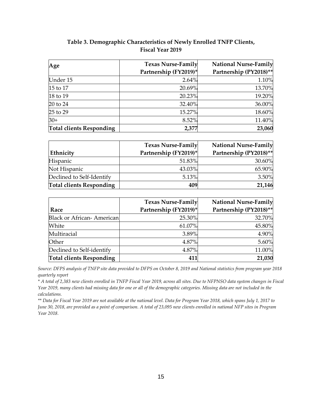| Table 3. Demographic Characteristics of Newly Enrolled TNFP Clients, |  |
|----------------------------------------------------------------------|--|
| <b>Fiscal Year 2019</b>                                              |  |

<span id="page-18-0"></span>

| Age                             | <b>Texas Nurse-Family</b> | <b>National Nurse-Family</b> |
|---------------------------------|---------------------------|------------------------------|
|                                 | Partnership (FY2019)*     | Partnership (PY2018)**       |
| Under 15                        | 2.64%                     | 1.10%                        |
| 15 to 17                        | 20.69%                    | 13.70%                       |
| 18 to 19                        | 20.23%                    | 19.20%                       |
| 20 to 24                        | 32.40%                    | 36.00%                       |
| 25 to 29                        | 15.27%                    | 18.60%                       |
| $30+$                           | 8.52%                     | 11.40%                       |
| <b>Total clients Responding</b> | 2,377                     | 23,060                       |

|                                 | <b>Texas Nurse-Family</b> | <b>National Nurse-Family</b> |
|---------------------------------|---------------------------|------------------------------|
| Ethnicity                       | Partnership (FY2019)*     | Partnership (PY2018)**       |
| <b>Hispanic</b>                 | 51.83%                    | 30.60%                       |
| Not Hispanic                    | 43.03%                    | 65.90%                       |
| Declined to Self-Identify       | 5.13%                     | 3.50%                        |
| <b>Total clients Responding</b> | 409                       | 21,146                       |

|                                  | <b>Texas Nurse-Family</b> | <b>National Nurse-Family</b> |
|----------------------------------|---------------------------|------------------------------|
| Race                             | Partnership (FY2019)*     | Partnership (PY2018)**       |
| <b>Black or African-American</b> | 25.30%                    | 32.70%                       |
| White                            | 61.07%                    | 45.80%                       |
| Multiracial                      | 3.89%                     | 4.90%                        |
| Other                            | 4.87%                     | 5.60%                        |
| Declined to Self-identify        | 4.87%                     | 11.00%                       |
| <b>Total clients Responding</b>  | 411                       | 21,030                       |

*Source: DFPS analysis of TNFP site data provided to DFPS on October 8, 2019 and National statistics from program year 2018 quarterly report*

*\* A total of 2,383 new clients enrolled in TNFP Fiscal Year 2019, across all sites. Due to NFPNSO data system changes in Fiscal Year 2019, many clients had missing data for one or all of the demographic categories. Missing data are not included in the calculations.*

*\*\* Data for Fiscal Year 2019 are not available at the national level. Data for Program Year 2018, which spans July 1, 2017 to June 30, 2018, are provided as a point of comparison. A total of 23,095 new clients enrolled in national NFP sites in Program Year 2018.*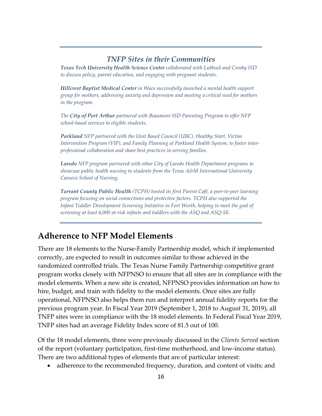#### *TNFP Sites in their Communities*

*Texas Tech University Health Science Center collaborated with Lubbock and Crosby ISD to discuss policy, parent education, and engaging with pregnant students.* 

*Hillcrest Baptist Medical Center in Waco successfully launched a mental health support group for mothers, addressing anxiety and depression and meeting a critical need for mothers in the program.* 

*The City of Port Arthur partnered with Beaumont ISD Parenting Program to offer NFP school-based services to eligible students.*

*Parkland NFP partnered with the Unit Based Council (UBC), Healthy Start, Victim Intervention Program (VIP), and Family Planning at Parkland Health System, to foster interprofessional collaboration and share best practices in serving families.*

*Laredo NFP program partnered with other City of Laredo Health Department programs to showcase public health nursing to students from the Texas A&M International University Canseco School of Nursing.*

*Tarrant County Public Health (TCPH) hosted its first Parent Café, a peer-to-peer learning program focusing on social connections and protective factors. TCPH also supported the Infant Toddler Development Screening Initiative in Fort Worth, helping to meet the goal of screening at least 4,000 at-risk infants and toddlers with the ASQ and ASQ-SE.*

### <span id="page-19-0"></span>**Adherence to NFP Model Elements**

There are 18 elements to the Nurse-Family Partnership model, which if implemented correctly, are expected to result in outcomes similar to those achieved in the randomized controlled trials. The Texas Nurse Family Partnership competitive grant program works closely with NFPNSO to ensure that all sites are in compliance with the model elements. When a new site is created, NFPNSO provides information on how to hire, budget, and train with fidelity to the model elements. Once sites are fully operational, NFPNSO also helps them run and interpret annual fidelity reports for the previous program year. In Fiscal Year 2019 (September 1, 2018 to August 31, 2019), all TNFP sites were in compliance with the 18 model elements. In Federal Fiscal Year 2019, TNFP sites had an average Fidelity Index score of 81.5 out of 100.

Of the 18 model elements, three were previously discussed in the *Clients Served* section of the report (voluntary participation, first-time motherhood, and low-income status). There are two additional types of elements that are of particular interest:

• adherence to the recommended frequency, duration, and content of visits; and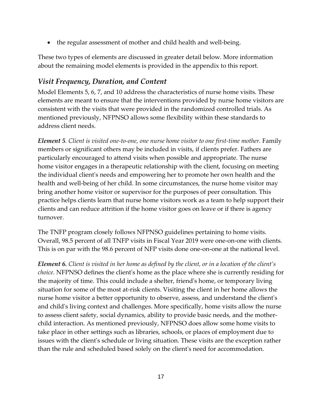• the regular assessment of mother and child health and well-being.

These two types of elements are discussed in greater detail below. More information about the remaining model elements is provided in the appendix to this report.

#### <span id="page-20-0"></span>*Visit Frequency, Duration, and Content*

Model Elements 5, 6, 7, and 10 address the characteristics of nurse home visits. These elements are meant to ensure that the interventions provided by nurse home visitors are consistent with the visits that were provided in the randomized controlled trials. As mentioned previously, NFPNSO allows some flexibility within these standards to address client needs.

*Element 5. Client is visited one-to-one, one nurse home visitor to one first-time mother.* Family members or significant others may be included in visits, if clients prefer. Fathers are particularly encouraged to attend visits when possible and appropriate. The nurse home visitor engages in a therapeutic relationship with the client, focusing on meeting the individual client's needs and empowering her to promote her own health and the health and well-being of her child. In some circumstances, the nurse home visitor may bring another home visitor or supervisor for the purposes of peer consultation. This practice helps clients learn that nurse home visitors work as a team to help support their clients and can reduce attrition if the home visitor goes on leave or if there is agency turnover.

The TNFP program closely follows NFPNSO guidelines pertaining to home visits. Overall, 98.5 percent of all TNFP visits in Fiscal Year 2019 were one-on-one with clients. This is on par with the 98.6 percent of NFP visits done one-on-one at the national level.

*Element 6. Client is visited in her home as defined by the client, or in a location of the client's choice.* NFPNSO defines the client's home as the place where she is currently residing for the majority of time. This could include a shelter, friend's home, or temporary living situation for some of the most at-risk clients. Visiting the client in her home allows the nurse home visitor a better opportunity to observe, assess, and understand the client's and child's living context and challenges. More specifically, home visits allow the nurse to assess client safety, social dynamics, ability to provide basic needs, and the motherchild interaction. As mentioned previously, NFPNSO does allow some home visits to take place in other settings such as libraries, schools, or places of employment due to issues with the client's schedule or living situation. These visits are the exception rather than the rule and scheduled based solely on the client's need for accommodation.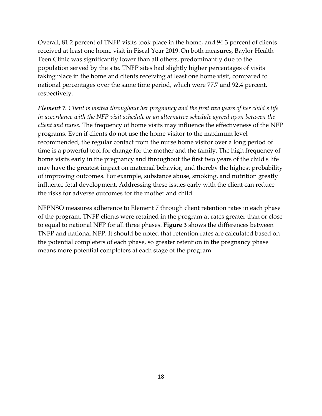Overall, 81.2 percent of TNFP visits took place in the home, and 94.3 percent of clients received at least one home visit in Fiscal Year 2019.On both measures, Baylor Health Teen Clinic was significantly lower than all others, predominantly due to the population served by the site. TNFP sites had slightly higher percentages of visits taking place in the home and clients receiving at least one home visit, compared to national percentages over the same time period, which were 77.7 and 92.4 percent, respectively.

*Element 7. Client is visited throughout her pregnancy and the first two years of her child's life in accordance with the NFP visit schedule or an alternative schedule agreed upon between the client and nurse.* The frequency of home visits may influence the effectiveness of the NFP programs. Even if clients do not use the home visitor to the maximum level recommended, the regular contact from the nurse home visitor over a long period of time is a powerful tool for change for the mother and the family. The high frequency of home visits early in the pregnancy and throughout the first two years of the child's life may have the greatest impact on maternal behavior, and thereby the highest probability of improving outcomes. For example, substance abuse, smoking, and nutrition greatly influence fetal development. Addressing these issues early with the client can reduce the risks for adverse outcomes for the mother and child.

NFPNSO measures adherence to Element 7 through client retention rates in each phase of the program. TNFP clients were retained in the program at rates greater than or close to equal to national NFP for all three phases. **Figure 3** shows the differences between TNFP and national NFP. It should be noted that retention rates are calculated based on the potential completers of each phase, so greater retention in the pregnancy phase means more potential completers at each stage of the program.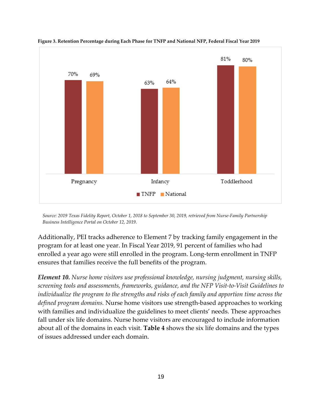

<span id="page-22-0"></span>**Figure 3. Retention Percentage during Each Phase for TNFP and National NFP, Federal Fiscal Year 2019**

*Source: 2019 Texas Fidelity Report, October 1, 2018 to September 30, 2019, retrieved from Nurse-Family Partnership Business Intelligence Portal on October 12, 2019.*

Additionally, PEI tracks adherence to Element 7 by tracking family engagement in the program for at least one year. In Fiscal Year 2019, 91 percent of families who had enrolled a year ago were still enrolled in the program. Long-term enrollment in TNFP ensures that families receive the full benefits of the program.

*Element 10. Nurse home visitors use professional knowledge, nursing judgment, nursing skills, screening tools and assessments, frameworks, guidance, and the NFP Visit-to-Visit Guidelines to individualize the program to the strengths and risks of each family and apportion time across the defined program domains.* Nurse home visitors use strength-based approaches to working with families and individualize the guidelines to meet clients' needs. These approaches fall under six life domains. Nurse home visitors are encouraged to include information about all of the domains in each visit. **Table 4** shows the six life domains and the types of issues addressed under each domain.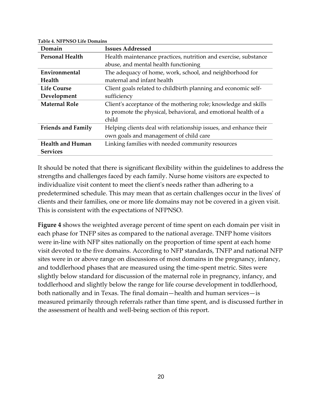| Domain                    | <b>Issues Addressed</b>                                          |
|---------------------------|------------------------------------------------------------------|
| <b>Personal Health</b>    | Health maintenance practices, nutrition and exercise, substance  |
|                           | abuse, and mental health functioning                             |
| Environmental             | The adequacy of home, work, school, and neighborhood for         |
| Health                    | maternal and infant health                                       |
| <b>Life Course</b>        | Client goals related to childbirth planning and economic self-   |
| Development               | sufficiency                                                      |
| <b>Maternal Role</b>      | Client's acceptance of the mothering role; knowledge and skills  |
|                           | to promote the physical, behavioral, and emotional health of a   |
|                           | child                                                            |
| <b>Friends and Family</b> | Helping clients deal with relationship issues, and enhance their |
|                           | own goals and management of child care                           |
| <b>Health and Human</b>   | Linking families with needed community resources                 |
| <b>Services</b>           |                                                                  |

**Table 4. NFPNSO Life Domains**

It should be noted that there is significant flexibility within the guidelines to address the strengths and challenges faced by each family. Nurse home visitors are expected to individualize visit content to meet the client's needs rather than adhering to a predetermined schedule. This may mean that as certain challenges occur in the lives' of clients and their families, one or more life domains may not be covered in a given visit. This is consistent with the expectations of NFPNSO.

**Figure 4** shows the weighted average percent of time spent on each domain per visit in each phase for TNFP sites as compared to the national average. TNFP home visitors were in-line with NFP sites nationally on the proportion of time spent at each home visit devoted to the five domains. According to NFP standards, TNFP and national NFP sites were in or above range on discussions of most domains in the pregnancy, infancy, and toddlerhood phases that are measured using the time-spent metric. Sites were slightly below standard for discussion of the maternal role in pregnancy, infancy, and toddlerhood and slightly below the range for life course development in toddlerhood, both nationally and in Texas. The final domain—health and human services—is measured primarily through referrals rather than time spent, and is discussed further in the assessment of health and well-being section of this report.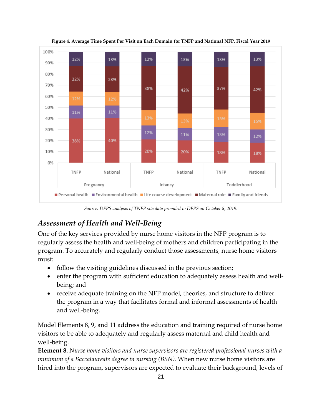<span id="page-24-1"></span>

**Figure 4. Average Time Spent Per Visit on Each Domain for TNFP and National NFP, Fiscal Year 2019**

*Source: DFPS analysis of TNFP site data provided to DFPS on October 8, 2019.*

#### <span id="page-24-0"></span>*Assessment of Health and Well-Being*

One of the key services provided by nurse home visitors in the NFP program is to regularly assess the health and well-being of mothers and children participating in the program. To accurately and regularly conduct those assessments, nurse home visitors must:

- follow the visiting guidelines discussed in the previous section;
- enter the program with sufficient education to adequately assess health and wellbeing; and
- receive adequate training on the NFP model, theories, and structure to deliver the program in a way that facilitates formal and informal assessments of health and well-being.

Model Elements 8, 9, and 11 address the education and training required of nurse home visitors to be able to adequately and regularly assess maternal and child health and well-being.

**Element 8.** *Nurse home visitors and nurse supervisors are registered professional nurses with a minimum of a Baccalaureate degree in nursing (BSN).* When new nurse home visitors are hired into the program, supervisors are expected to evaluate their background, levels of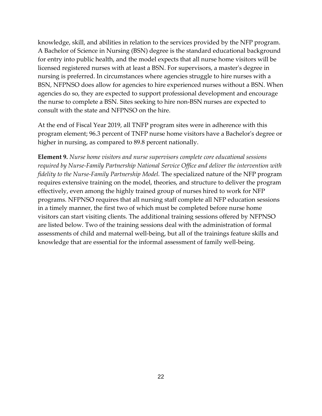knowledge, skill, and abilities in relation to the services provided by the NFP program. A Bachelor of Science in Nursing (BSN) degree is the standard educational background for entry into public health, and the model expects that all nurse home visitors will be licensed registered nurses with at least a BSN. For supervisors, a master's degree in nursing is preferred. In circumstances where agencies struggle to hire nurses with a BSN, NFPNSO does allow for agencies to hire experienced nurses without a BSN. When agencies do so, they are expected to support professional development and encourage the nurse to complete a BSN. Sites seeking to hire non-BSN nurses are expected to consult with the state and NFPNSO on the hire.

At the end of Fiscal Year 2019, all TNFP program sites were in adherence with this program element; 96.3 percent of TNFP nurse home visitors have a Bachelor's degree or higher in nursing, as compared to 89.8 percent nationally.

**Element 9***. Nurse home visitors and nurse supervisors complete core educational sessions required by Nurse-Family Partnership National Service Office and deliver the intervention with fidelity to the Nurse-Family Partnership Model.* The specialized nature of the NFP program requires extensive training on the model, theories, and structure to deliver the program effectively, even among the highly trained group of nurses hired to work for NFP programs. NFPNSO requires that all nursing staff complete all NFP education sessions in a timely manner, the first two of which must be completed before nurse home visitors can start visiting clients. The additional training sessions offered by NFPNSO are listed below. Two of the training sessions deal with the administration of formal assessments of child and maternal well-being, but all of the trainings feature skills and knowledge that are essential for the informal assessment of family well-being.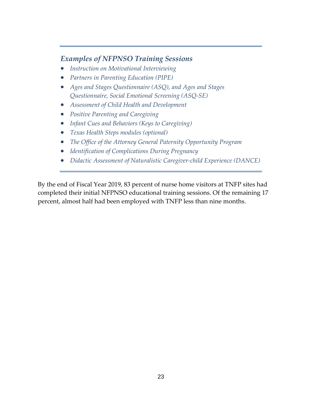#### *Examples of NFPNSO Training Sessions*

- *Instruction on Motivational Interviewing*
- *Partners in Parenting Education (PIPE)*
- *Ages and Stages Questionnaire (ASQ), and Ages and Stages Questionnaire, Social Emotional Screening (ASQ-SE)*
- *Assessment of Child Health and Development*
- *Positive Parenting and Caregiving*
- *Infant Cues and Behaviors (Keys to Caregiving)*
- *Texas Health Steps modules (optional)*
- *The Office of the Attorney General Paternity Opportunity Program*
- *Identification of Complications During Pregnancy*
- *Didactic Assessment of Naturalistic Caregiver-child Experience (DANCE)*

By the end of Fiscal Year 2019, 83 percent of nurse home visitors at TNFP sites had completed their initial NFPNSO educational training sessions. Of the remaining 17 percent, almost half had been employed with TNFP less than nine months.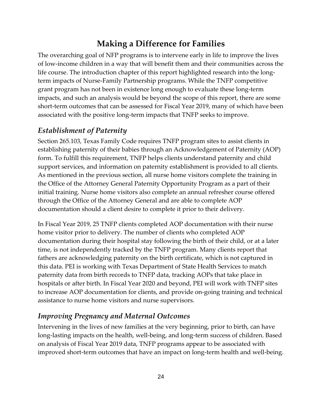## **Making a Difference for Families**

<span id="page-27-0"></span>The overarching goal of NFP programs is to intervene early in life to improve the lives of low-income children in a way that will benefit them and their communities across the life course. The introduction chapter of this report highlighted research into the longterm impacts of Nurse-Family Partnership programs. While the TNFP competitive grant program has not been in existence long enough to evaluate these long-term impacts, and such an analysis would be beyond the scope of this report, there are some short-term outcomes that can be assessed for Fiscal Year 2019, many of which have been associated with the positive long-term impacts that TNFP seeks to improve.

#### <span id="page-27-1"></span>*Establishment of Paternity*

Section 265.103, Texas Family Code requires TNFP program sites to assist clients in establishing paternity of their babies through an Acknowledgement of Paternity (AOP) form. To fulfill this requirement, TNFP helps clients understand paternity and child support services, and information on paternity establishment is provided to all clients. As mentioned in the previous section, all nurse home visitors complete the training in the Office of the Attorney General Paternity Opportunity Program as a part of their initial training. Nurse home visitors also complete an annual refresher course offered through the Office of the Attorney General and are able to complete AOP documentation should a client desire to complete it prior to their delivery.

In Fiscal Year 2019, 25 TNFP clients completed AOP documentation with their nurse home visitor prior to delivery. The number of clients who completed AOP documentation during their hospital stay following the birth of their child, or at a later time, is not independently tracked by the TNFP program. Many clients report that fathers are acknowledging paternity on the birth certificate, which is not captured in this data. PEI is working with Texas Department of State Health Services to match paternity data from birth records to TNFP data, tracking AOPs that take place in hospitals or after birth. In Fiscal Year 2020 and beyond, PEI will work with TNFP sites to increase AOP documentation for clients, and provide on-going training and technical assistance to nurse home visitors and nurse supervisors.

#### <span id="page-27-2"></span>*Improving Pregnancy and Maternal Outcomes*

Intervening in the lives of new families at the very beginning, prior to birth, can have long-lasting impacts on the health, well-being, and long-term success of children. Based on analysis of Fiscal Year 2019 data, TNFP programs appear to be associated with improved short-term outcomes that have an impact on long-term health and well-being.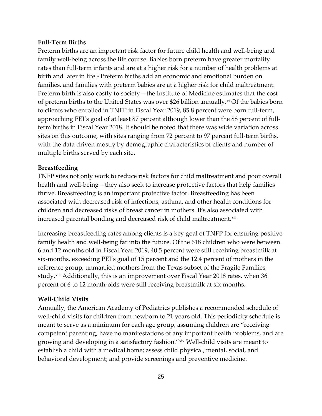#### **Full-Term Births**

Preterm births are an important risk factor for future child health and well-being and family well-being across the life course. Babies born preterm have greater mortality rates than full-term infants and are at a higher risk for a number of health problems at birth and later in life.<sup>[x](#page-36-9)</sup> Preterm births add an economic and emotional burden on families, and families with preterm babies are at a higher risk for child maltreatment. Preterm birth is also costly to society—the Institute of Medicine estimates that the cost of preterm births to the United States was over \$26 billion annually. $x$  Of the babies born to clients who enrolled in TNFP in Fiscal Year 2019, 85.8 percent were born full-term, approaching PEI's goal of at least 87 percent although lower than the 88 percent of fullterm births in Fiscal Year 2018. It should be noted that there was wide variation across sites on this outcome, with sites ranging from 72 percent to 97 percent full-term births, with the data driven mostly by demographic characteristics of clients and number of multiple births served by each site.

#### **Breastfeeding**

TNFP sites not only work to reduce risk factors for child maltreatment and poor overall health and well-being—they also seek to increase protective factors that help families thrive. Breastfeeding is an important protective factor. Breastfeeding has been associated with decreased risk of infections, asthma, and other health conditions for children and decreased risks of breast cancer in mothers. It's also associated with increased parental bonding and decreased risk of child maltreatment.<sup>[xii](#page-36-11)</sup>

Increasing breastfeeding rates among clients is a key goal of TNFP for ensuring positive family health and well-being far into the future. Of the 618 children who were between 6 and 12 months old in Fiscal Year 2019, 40.5 percent were still receiving breastmilk at six-months, exceeding PEI's goal of 15 percent and the 12.4 percent of mothers in the reference group, unmarried mothers from the Texas subset of the Fragile Families study.[xiii](#page-36-12) Additionally, this is an improvement over Fiscal Year 2018 rates, when 36 percent of 6 to 12 month-olds were still receiving breastmilk at six months.

#### **Well-Child Visits**

Annually, the American Academy of Pediatrics publishes a recommended schedule of well-child visits for children from newborn to 21 years old. This periodicity schedule is meant to serve as a minimum for each age group, assuming children are "receiving competent parenting, have no manifestations of any important health problems, and are growing and developing in a satisfactory fashion."[xiv](#page-36-13) Well-child visits are meant to establish a child with a medical home; assess child physical, mental, social, and behavioral development; and provide screenings and preventive medicine.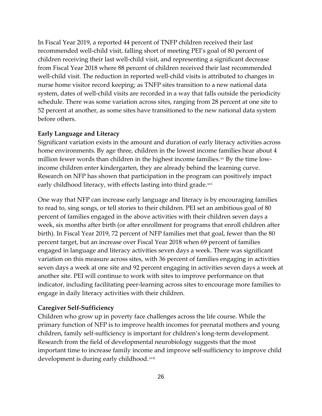In Fiscal Year 2019, a reported 44 percent of TNFP children received their last recommended well-child visit, falling short of meeting PEI's goal of 80 percent of children receiving their last well-child visit, and representing a significant decrease from Fiscal Year 2018 where 88 percent of children received their last recommended well-child visit. The reduction in reported well-child visits is attributed to changes in nurse home visitor record keeping; as TNFP sites transition to a new national data system, dates of well-child visits are recorded in a way that falls outside the periodicity schedule. There was some variation across sites, ranging from 28 percent at one site to 52 percent at another, as some sites have transitioned to the new national data system before others.

#### **Early Language and Literacy**

Significant variation exists in the amount and duration of early literacy activities across home environments. By age three, children in the lowest income families hear about 4 million fewer words than children in the highest income families. $x<sup>v</sup>$  By the time lowincome children enter kindergarten, they are already behind the learning curve. Research on NFP has shown that participation in the program can positively impact early childhood literacy, with effects lasting into third grade.<sup>[xvi](#page-36-15)</sup>

One way that NFP can increase early language and literacy is by encouraging families to read to, sing songs, or tell stories to their children. PEI set an ambitious goal of 80 percent of families engaged in the above activities with their children seven days a week, six months after birth (or after enrollment for programs that enroll children after birth). In Fiscal Year 2019, 72 percent of NFP families met that goal, fewer than the 80 percent target, but an increase over Fiscal Year 2018 when 69 percent of families engaged in language and literacy activities seven days a week. There was significant variation on this measure across sites, with 36 percent of families engaging in activities seven days a week at one site and 92 percent engaging in activities seven days a week at another site. PEI will continue to work with sites to improve performance on that indicator, including facilitating peer-learning across sites to encourage more families to engage in daily literacy activities with their children.

#### **Caregiver Self-Sufficiency**

Children who grow up in poverty face challenges across the life course. While the primary function of NFP is to improve health incomes for prenatal mothers and young children, family self-sufficiency is important for children's long-term development. Research from the field of developmental neurobiology suggests that the most important time to increase family income and improve self-sufficiency to improve child development is during early childhood.<sup>[xvii](#page-36-16)</sup>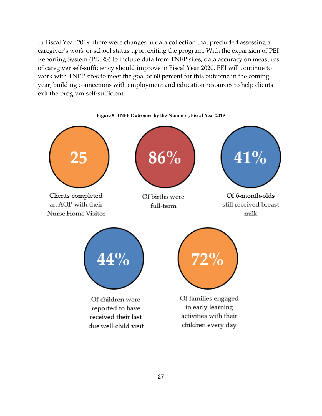In Fiscal Year 2019, there were changes in data collection that precluded assessing a caregiver's work or school status upon exiting the program. With the expansion of PEI Reporting System (PEIRS) to include data from TNFP sites, data accuracy on measures of caregiver self-sufficiency should improve in Fiscal Year 2020. PEI will continue to work with TNFP sites to meet the goal of 60 percent for this outcome in the coming year, building connections with employment and education resources to help clients exit the program self-sufficient.

<span id="page-30-0"></span>

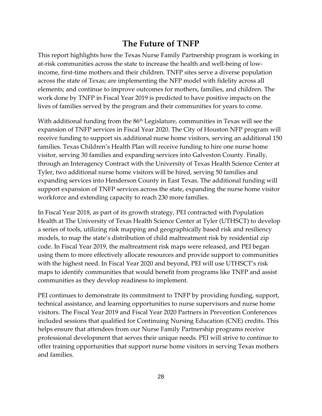## **The Future of TNFP**

<span id="page-31-0"></span>This report highlights how the Texas Nurse Family Partnership program is working in at-risk communities across the state to increase the health and well-being of lowincome, first-time mothers and their children. TNFP sites serve a diverse population across the state of Texas; are implementing the NFP model with fidelity across all elements; and continue to improve outcomes for mothers, families, and children. The work done by TNFP in Fiscal Year 2019 is predicted to have positive impacts on the lives of families served by the program and their communities for years to come.

With additional funding from the 86<sup>th</sup> Legislature, communities in Texas will see the expansion of TNFP services in Fiscal Year 2020. The City of Houston NFP program will receive funding to support six additional nurse home visitors, serving an additional 150 families. Texas Children's Health Plan will receive funding to hire one nurse home visitor, serving 30 families and expanding services into Galveston County. Finally, through an Interagency Contract with the University of Texas Health Science Center at Tyler, two additional nurse home visitors will be hired, serving 50 families and expanding services into Henderson County in East Texas. The additional funding will support expansion of TNFP services across the state, expanding the nurse home visitor workforce and extending capacity to reach 230 more families.

In Fiscal Year 2018, as part of its growth strategy, PEI contracted with Population Health at The University of Texas Health Science Center at Tyler (UTHSCT) to develop a series of tools, utilizing risk mapping and geographically based risk and resiliency models, to map the state's distribution of child maltreatment risk by residential zip code. In Fiscal Year 2019, the maltreatment risk maps were released, and PEI began using them to more effectively allocate resources and provide support to communities with the highest need. In Fiscal Year 2020 and beyond, PEI will use UTHSCT's risk maps to identify communities that would benefit from programs like TNFP and assist communities as they develop readiness to implement.

PEI continues to demonstrate its commitment to TNFP by providing funding, support, technical assistance, and learning opportunities to nurse supervisors and nurse home visitors. The Fiscal Year 2019 and Fiscal Year 2020 Partners in Prevention Conferences included sessions that qualified for Continuing Nursing Education (CNE) credits. This helps ensure that attendees from our Nurse Family Partnership programs receive professional development that serves their unique needs. PEI will strive to continue to offer training opportunities that support nurse home visitors in serving Texas mothers and families.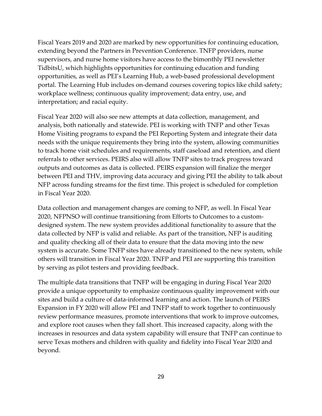Fiscal Years 2019 and 2020 are marked by new opportunities for continuing education, extending beyond the Partners in Prevention Conference. TNFP providers, nurse supervisors, and nurse home visitors have access to the bimonthly PEI newsletter TidbitsU, which highlights opportunities for continuing education and funding opportunities, as well as PEI's Learning Hub, a web-based professional development portal. The Learning Hub includes on-demand courses covering topics like child safety; workplace wellness; continuous quality improvement; data entry, use, and interpretation; and racial equity.

Fiscal Year 2020 will also see new attempts at data collection, management, and analysis, both nationally and statewide. PEI is working with TNFP and other Texas Home Visiting programs to expand the PEI Reporting System and integrate their data needs with the unique requirements they bring into the system, allowing communities to track home visit schedules and requirements, staff caseload and retention, and client referrals to other services. PEIRS also will allow TNFP sites to track progress toward outputs and outcomes as data is collected. PEIRS expansion will finalize the merger between PEI and THV, improving data accuracy and giving PEI the ability to talk about NFP across funding streams for the first time. This project is scheduled for completion in Fiscal Year 2020.

Data collection and management changes are coming to NFP, as well. In Fiscal Year 2020, NFPNSO will continue transitioning from Efforts to Outcomes to a customdesigned system. The new system provides additional functionality to assure that the data collected by NFP is valid and reliable. As part of the transition, NFP is auditing and quality checking all of their data to ensure that the data moving into the new system is accurate. Some TNFP sites have already transitioned to the new system, while others will transition in Fiscal Year 2020. TNFP and PEI are supporting this transition by serving as pilot testers and providing feedback.

The multiple data transitions that TNFP will be engaging in during Fiscal Year 2020 provide a unique opportunity to emphasize continuous quality improvement with our sites and build a culture of data-informed learning and action. The launch of PEIRS Expansion in FY 2020 will allow PEI and TNFP staff to work together to continuously review performance measures, promote interventions that work to improve outcomes, and explore root causes when they fall short. This increased capacity, along with the increases in resources and data system capability will ensure that TNFP can continue to serve Texas mothers and children with quality and fidelity into Fiscal Year 2020 and beyond.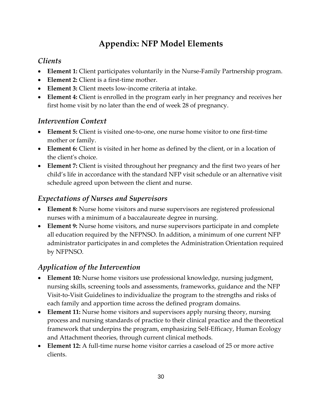## **Appendix: NFP Model Elements**

## <span id="page-33-1"></span><span id="page-33-0"></span>*Clients*

- **Element 1:** Client participates voluntarily in the Nurse-Family Partnership program.
- **Element 2:** Client is a first-time mother.
- **Element 3:** Client meets low-income criteria at intake.
- **Element 4:** Client is enrolled in the program early in her pregnancy and receives her first home visit by no later than the end of week 28 of pregnancy.

#### <span id="page-33-2"></span>*Intervention Context*

- **Element 5:** Client is visited one-to-one, one nurse home visitor to one first-time mother or family.
- **Element 6:** Client is visited in her home as defined by the client, or in a location of the client's choice.
- **Element 7:** Client is visited throughout her pregnancy and the first two years of her child's life in accordance with the standard NFP visit schedule or an alternative visit schedule agreed upon between the client and nurse.

### <span id="page-33-3"></span>*Expectations of Nurses and Supervisors*

- **Element 8:** Nurse home visitors and nurse supervisors are registered professional nurses with a minimum of a baccalaureate degree in nursing.
- **Element 9:** Nurse home visitors, and nurse supervisors participate in and complete all education required by the NFPNSO. In addition, a minimum of one current NFP administrator participates in and completes the Administration Orientation required by NFPNSO.

### <span id="page-33-4"></span>*Application of the Intervention*

- **Element 10:** Nurse home visitors use professional knowledge, nursing judgment, nursing skills, screening tools and assessments, frameworks, guidance and the NFP Visit-to-Visit Guidelines to individualize the program to the strengths and risks of each family and apportion time across the defined program domains.
- **Element 11:** Nurse home visitors and supervisors apply nursing theory, nursing process and nursing standards of practice to their clinical practice and the theoretical framework that underpins the program, emphasizing Self-Efficacy, Human Ecology and Attachment theories, through current clinical methods.
- **Element 12:** A full-time nurse home visitor carries a caseload of 25 or more active clients.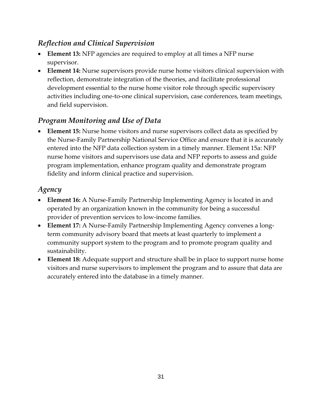## <span id="page-34-0"></span>*Reflection and Clinical Supervision*

- **Element 13:** NFP agencies are required to employ at all times a NFP nurse supervisor.
- **Element 14:** Nurse supervisors provide nurse home visitors clinical supervision with reflection, demonstrate integration of the theories, and facilitate professional development essential to the nurse home visitor role through specific supervisory activities including one-to-one clinical supervision, case conferences, team meetings, and field supervision.

## <span id="page-34-1"></span>*Program Monitoring and Use of Data*

• **Element 15:** Nurse home visitors and nurse supervisors collect data as specified by the Nurse-Family Partnership National Service Office and ensure that it is accurately entered into the NFP data collection system in a timely manner. Element 15a: NFP nurse home visitors and supervisors use data and NFP reports to assess and guide program implementation, enhance program quality and demonstrate program fidelity and inform clinical practice and supervision.

#### <span id="page-34-2"></span>*Agency*

- **Element 16:** A Nurse-Family Partnership Implementing Agency is located in and operated by an organization known in the community for being a successful provider of prevention services to low-income families.
- **Element 17:** A Nurse-Family Partnership Implementing Agency convenes a longterm community advisory board that meets at least quarterly to implement a community support system to the program and to promote program quality and sustainability.
- **Element 18:** Adequate support and structure shall be in place to support nurse home visitors and nurse supervisors to implement the program and to assure that data are accurately entered into the database in a timely manner.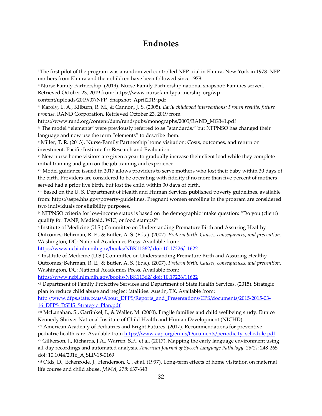#### **Endnotes**

<span id="page-35-0"></span> $\overline{a}$ 

xvi Olds, D., Eckenrode, J., Henderson, C., et al. (1997). Long-term effects of home visitation on maternal life course and child abuse. *JAMA, 278*: 637-643

<sup>i</sup> The first pilot of the program was a randomized controlled NFP trial in Elmira, New York in 1978. NFP mothers from Elmira and their children have been followed since 1978. ii Nurse Family Partnership. (2019). Nurse-Family Partnership national snapshot: Families served. Retrieved October 23, 2019 from: https://www.nursefamilypartnership.org/wpcontent/uploads/2019/07/NFP\_Snapshot\_April2019.pdf iii Karoly, L. A., Kilburn, R. M., & Cannon, J. S. (2005). *Early childhood interventions: Proven results, future promise*. RAND Corporation. Retrieved October 23, 2019 from https://www.rand.org/content/dam/rand/pubs/monographs/2005/RAND\_MG341.pdf iv The model "elements" were previously referred to as "standards," but NFPNSO has changed their language and now use the term "elements" to describe them. <sup>v</sup> Miller, T. R. (2013). Nurse-Family Partnership home visitation: Costs, outcomes, and return on investment. Pacific Institute for Research and Evaluation. vi New nurse home visitors are given a year to gradually increase their client load while they complete initial training and gain on the job training and experience. vii Model guidance issued in 2017 allows providers to serve mothers who lost their baby within 30 days of the birth. Providers are considered to be operating with fidelity if no more than five percent of mothers served had a prior live birth, but lost the child within 30 days of birth. viii Based on the U. S. Department of Health and Human Services published poverty guidelines, available from: https://aspe.hhs.gov/poverty-guidelines. Pregnant women enrolling in the program are considered two individuals for eligibility purposes. ix NFPNSO criteria for low-income status is based on the demographic intake question: "Do you (client) qualify for TANF, Medicaid, WIC, or food stamps?" <sup>x</sup> Institute of Medicine (U.S.) Committee on Understanding Premature Birth and Assuring Healthy Outcomes; Behrman, R. E., & Butler, A. S. (Eds.). (2007). *Preterm birth: Causes, consequences, and prevention*. Washington, DC: National Academies Press. Available from: https://www.ncbi.nlm.nih.gov/books/NBK11362/ doi: 10.17226/11622 xi Institute of Medicine (U.S.) Committee on Understanding Premature Birth and Assuring Healthy Outcomes; Behrman, R. E., & Butler, A. S. (Eds.). (2007). *Preterm birth: Causes, consequences, and prevention.*  Washington, DC: National Academies Press. Available from: https://www.ncbi.nlm.nih.gov/books/NBK11362/ doi: 10.17226/11622 xii Department of Family Protective Services and Department of State Health Services. (2015). Strategic plan to reduce child abuse and neglect fatalities. Austin, TX. Available from: http://www.dfps.state.tx.us/About\_DFPS/Reports\_and\_Presentations/CPS/documents/2015/2015-03- 16\_DFPS\_DSHS\_Strategic\_Plan.pdf xiii McLanahan, S., Garfinkel, I., & Waller, M. (2000). Fragile families and child wellbeing study. Eunice Kennedy Shriver National Institute of Child Health and Human Development (NICHD). xiv American Academy of Pediatrics and Bright Futures. (2017). Recommendations for preventive pediatric health care. Available from https://www.aap.org/en-us/Documents/periodicity\_schedule.pdf xv Gilkerson, J., Richards, J.A., Warren, S.F., et al. (2017). Mapping the early language environment using all-day recordings and automated analysis. *American Journal of Speech-Language Pathology*, *26(2)*: 248-265 doi: 10.1044/2016\_AJSLP-15-0169